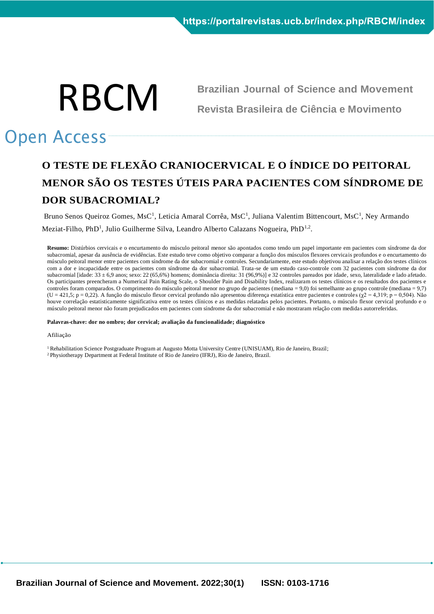

**Brazilian Journal of Science and Movement Revista Brasileira de Ciência e Movimento**

# Open Access

# **O TESTE DE FLEXÃO CRANIOCERVICAL E O ÍNDICE DO PEITORAL MENOR SÃO OS TESTES ÚTEIS PARA PACIENTES COM SÍNDROME DE DOR SUBACROMIAL?**

Bruno Senos Queiroz Gomes, MsC<sup>1</sup>, Leticia Amaral Corrêa, MsC<sup>1</sup>, Juliana Valentim Bittencourt, MsC<sup>1</sup>, Ney Armando Meziat-Filho, PhD<sup>1</sup>, Julio Guilherme Silva, Leandro Alberto Calazans Nogueira, PhD<sup>1,2</sup>.

**Resumo:** Distúrbios cervicais e o encurtamento do músculo peitoral menor são apontados como tendo um papel importante em pacientes com síndrome da dor subacromial, apesar da ausência de evidências. Este estudo teve como objetivo comparar a função dos músculos flexores cervicais profundos e o encurtamento do músculo peitoral menor entre pacientes com síndrome da dor subacromial e controles. Secundariamente, este estudo objetivou analisar a relação dos testes clínicos com a dor e incapacidade entre os pacientes com síndrome da dor subacromial. Trata-se de um estudo caso-controle com 32 pacientes com síndrome da dor subacromial [idade: 33 ± 6,9 anos; sexo: 22 (65,6%) homens; dominância direita: 31 (96,9%)] e 32 controles pareados por idade, sexo, lateralidade e lado afetado. Os participantes preencheram a Numerical Pain Rating Scale, o Shoulder Pain and Disability Index, realizaram os testes clínicos e os resultados dos pacientes e controles foram comparados. O comprimento do músculo peitoral menor no grupo de pacientes (mediana = 9,0) foi semelhante ao grupo controle (mediana = 9,7)  $(U = 421.5; p = 0.22)$ . A função do músculo flexor cervical profundo não apresentou diferença estatística entre pacientes e controles ( $\chi$ 2 = 4,319; p = 0,504). Não houve correlação estatisticamente significativa entre os testes clínicos e as medidas relatadas pelos pacientes. Portanto, o músculo flexor cervical profundo e o músculo peitoral menor não foram prejudicados em pacientes com síndrome da dor subacromial e não mostraram relação com medida s autorreferidas.

**Palavras-chave: dor no ombro; dor cervical; avaliação da funcionalidade; diagnóstico**

#### Afiliação

<sup>1</sup> Rehabilitation Science Postgraduate Program at Augusto Motta University Centre (UNISUAM), Rio de Janeiro, Brazil; <sup>2</sup> Physiotherapy Department at Federal Institute of Rio de Janeiro (IFRJ), Rio de Janeiro, Brazil.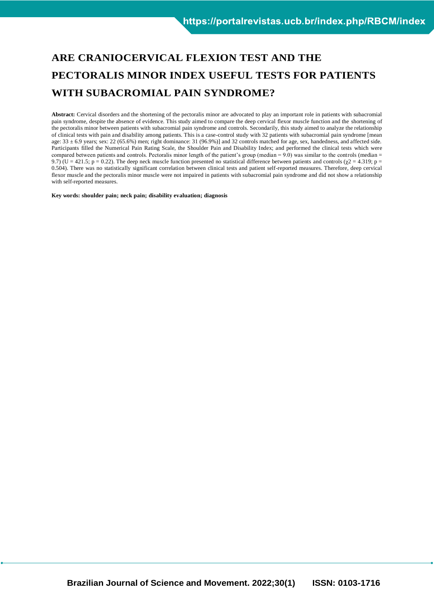# **ARE CRANIOCERVICAL FLEXION TEST AND THE PECTORALIS MINOR INDEX USEFUL TESTS FOR PATIENTS WITH SUBACROMIAL PAIN SYNDROME?**

**Abstract:** Cervical disorders and the shortening of the pectoralis minor are advocated to play an important role in patients with subacromial pain syndrome, despite the absence of evidence. This study aimed to compare the deep cervical flexor muscle function and the shortening of the pectoralis minor between patients with subacromial pain syndrome and controls. Secondarily, this study aimed to analyze the relationship of clinical tests with pain and disability among patients. This is a case-control study with 32 patients with subacromial pain syndrome [mean age:  $33 \pm 6.9$  years; sex: 22 (65.6%) men; right dominance: 31 (96.9%)] and 32 controls matched for age, sex, handedness, and affected side. Participants filled the Numerical Pain Rating Scale, the Shoulder Pain and Disability Index; and performed the clinical tests which were compared between patients and controls. Pectoralis minor length of the patient's group (median = 9.0) was similar to the controls (median = 9.7) (U = 421.5; p = 0.22). The deep neck muscle function presented no statistical difference between patients and controls ( $\chi$ 2 = 4.319; p = 0.504). There was no statistically significant correlation between clinical tests and patient self-reported measures. Therefore, deep cervical flexor muscle and the pectoralis minor muscle were not impaired in patients with subacromial pain syndrome and did not show a relationship with self-reported measures.

**Key words: shoulder pain; neck pain; disability evaluation; diagnosis**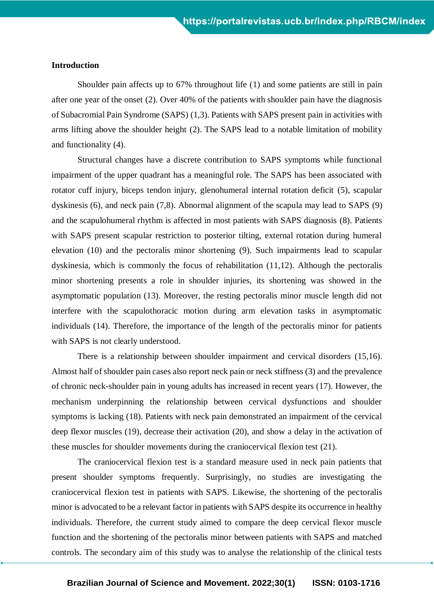# **Introduction**

Shoulder pain affects up to 67% throughout life (1) and some patients are still in pain after one year of the onset (2). Over 40% of the patients with shoulder pain have the diagnosis of Subacromial Pain Syndrome (SAPS) (1,3). Patients with SAPS present pain in activities with arms lifting above the shoulder height (2). The SAPS lead to a notable limitation of mobility and functionality (4).

Structural changes have a discrete contribution to SAPS symptoms while functional impairment of the upper quadrant has a meaningful role. The SAPS has been associated with rotator cuff injury, biceps tendon injury, glenohumeral internal rotation deficit (5), scapular dyskinesis (6), and neck pain (7,8). Abnormal alignment of the scapula may lead to SAPS (9) and the scapulohumeral rhythm is affected in most patients with SAPS diagnosis (8). Patients with SAPS present scapular restriction to posterior tilting, external rotation during humeral elevation (10) and the pectoralis minor shortening (9). Such impairments lead to scapular dyskinesia, which is commonly the focus of rehabilitation (11,12). Although the pectoralis minor shortening presents a role in shoulder injuries, its shortening was showed in the asymptomatic population (13). Moreover, the resting pectoralis minor muscle length did not interfere with the scapulothoracic motion during arm elevation tasks in asymptomatic individuals (14). Therefore, the importance of the length of the pectoralis minor for patients with SAPS is not clearly understood.

There is a relationship between shoulder impairment and cervical disorders (15,16). Almost half of shoulder pain cases also report neck pain or neck stiffness (3) and the prevalence of chronic neck-shoulder pain in young adults has increased in recent years (17). However, the mechanism underpinning the relationship between cervical dysfunctions and shoulder symptoms is lacking (18). Patients with neck pain demonstrated an impairment of the cervical deep flexor muscles (19), decrease their activation (20), and show a delay in the activation of these muscles for shoulder movements during the craniocervical flexion test (21).

The craniocervical flexion test is a standard measure used in neck pain patients that present shoulder symptoms frequently. Surprisingly, no studies are investigating the craniocervical flexion test in patients with SAPS. Likewise, the shortening of the pectoralis minor is advocated to be a relevant factor in patients with SAPS despite its occurrence in healthy individuals. Therefore, the current study aimed to compare the deep cervical flexor muscle function and the shortening of the pectoralis minor between patients with SAPS and matched controls. The secondary aim of this study was to analyse the relationship of the clinical tests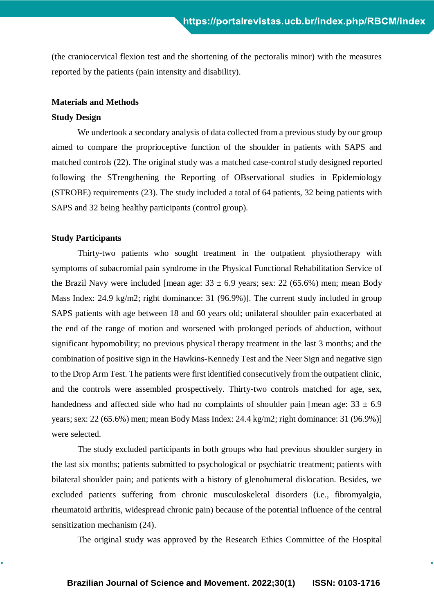(the craniocervical flexion test and the shortening of the pectoralis minor) with the measures reported by the patients (pain intensity and disability).

# **Materials and Methods**

# **Study Design**

We undertook a secondary analysis of data collected from a previous study by our group aimed to compare the proprioceptive function of the shoulder in patients with SAPS and matched controls (22). The original study was a matched case-control study designed reported following the STrengthening the Reporting of OBservational studies in Epidemiology (STROBE) requirements (23). The study included a total of 64 patients, 32 being patients with SAPS and 32 being healthy participants (control group).

# **Study Participants**

Thirty-two patients who sought treatment in the outpatient physiotherapy with symptoms of subacromial pain syndrome in the Physical Functional Rehabilitation Service of the Brazil Navy were included [mean age:  $33 \pm 6.9$  years; sex: 22 (65.6%) men; mean Body Mass Index: 24.9 kg/m2; right dominance: 31 (96.9%)]. The current study included in group SAPS patients with age between 18 and 60 years old; unilateral shoulder pain exacerbated at the end of the range of motion and worsened with prolonged periods of abduction, without significant hypomobility; no previous physical therapy treatment in the last 3 months; and the combination of positive sign in the Hawkins-Kennedy Test and the Neer Sign and negative sign to the Drop Arm Test. The patients were first identified consecutively from the outpatient clinic, and the controls were assembled prospectively. Thirty-two controls matched for age, sex, handedness and affected side who had no complaints of shoulder pain [mean age:  $33 \pm 6.9$ ] years; sex: 22 (65.6%) men; mean Body Mass Index: 24.4 kg/m2; right dominance: 31 (96.9%)] were selected.

The study excluded participants in both groups who had previous shoulder surgery in the last six months; patients submitted to psychological or psychiatric treatment; patients with bilateral shoulder pain; and patients with a history of glenohumeral dislocation. Besides, we excluded patients suffering from chronic musculoskeletal disorders (i.e., fibromyalgia, rheumatoid arthritis, widespread chronic pain) because of the potential influence of the central sensitization mechanism (24).

The original study was approved by the Research Ethics Committee of the Hospital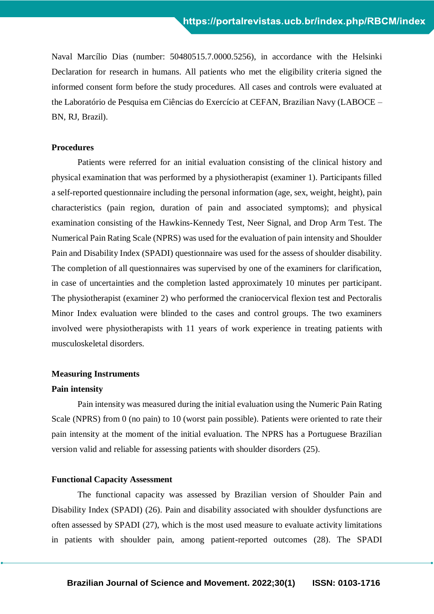Naval Marcílio Dias (number: 50480515.7.0000.5256), in accordance with the Helsinki Declaration for research in humans. All patients who met the eligibility criteria signed the informed consent form before the study procedures. All cases and controls were evaluated at the Laboratório de Pesquisa em Ciências do Exercício at CEFAN, Brazilian Navy (LABOCE – BN, RJ, Brazil).

# **Procedures**

Patients were referred for an initial evaluation consisting of the clinical history and physical examination that was performed by a physiotherapist (examiner 1). Participants filled a self-reported questionnaire including the personal information (age, sex, weight, height), pain characteristics (pain region, duration of pain and associated symptoms); and physical examination consisting of the Hawkins-Kennedy Test, Neer Signal, and Drop Arm Test. The Numerical Pain Rating Scale (NPRS) was used for the evaluation of pain intensity and Shoulder Pain and Disability Index (SPADI) questionnaire was used for the assess of shoulder disability. The completion of all questionnaires was supervised by one of the examiners for clarification, in case of uncertainties and the completion lasted approximately 10 minutes per participant. The physiotherapist (examiner 2) who performed the craniocervical flexion test and Pectoralis Minor Index evaluation were blinded to the cases and control groups. The two examiners involved were physiotherapists with 11 years of work experience in treating patients with musculoskeletal disorders.

# **Measuring Instruments**

# **Pain intensity**

Pain intensity was measured during the initial evaluation using the Numeric Pain Rating Scale (NPRS) from 0 (no pain) to 10 (worst pain possible). Patients were oriented to rate their pain intensity at the moment of the initial evaluation. The NPRS has a Portuguese Brazilian version valid and reliable for assessing patients with shoulder disorders (25).

# **Functional Capacity Assessment**

The functional capacity was assessed by Brazilian version of Shoulder Pain and Disability Index (SPADI) (26). Pain and disability associated with shoulder dysfunctions are often assessed by SPADI (27), which is the most used measure to evaluate activity limitations in patients with shoulder pain, among patient-reported outcomes (28). The SPADI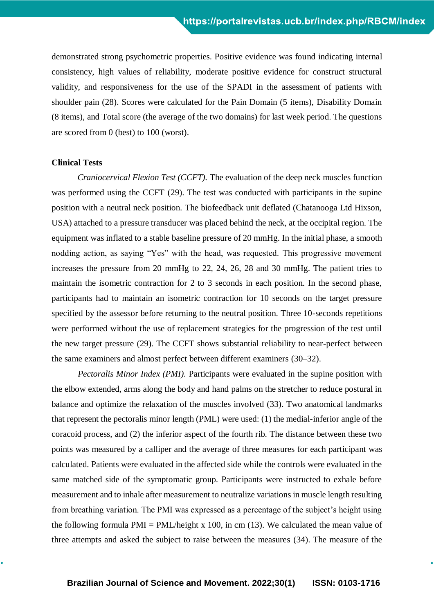demonstrated strong psychometric properties. Positive evidence was found indicating internal consistency, high values of reliability, moderate positive evidence for construct structural validity, and responsiveness for the use of the SPADI in the assessment of patients with shoulder pain (28). Scores were calculated for the Pain Domain (5 items), Disability Domain (8 items), and Total score (the average of the two domains) for last week period. The questions are scored from 0 (best) to 100 (worst).

### **Clinical Tests**

*Craniocervical Flexion Test (CCFT).* The evaluation of the deep neck muscles function was performed using the CCFT (29). The test was conducted with participants in the supine position with a neutral neck position. The biofeedback unit deflated (Chatanooga Ltd Hixson, USA) attached to a pressure transducer was placed behind the neck, at the occipital region. The equipment was inflated to a stable baseline pressure of 20 mmHg. In the initial phase, a smooth nodding action, as saying "Yes" with the head, was requested. This progressive movement increases the pressure from 20 mmHg to 22, 24, 26, 28 and 30 mmHg. The patient tries to maintain the isometric contraction for 2 to 3 seconds in each position. In the second phase, participants had to maintain an isometric contraction for 10 seconds on the target pressure specified by the assessor before returning to the neutral position. Three 10-seconds repetitions were performed without the use of replacement strategies for the progression of the test until the new target pressure (29). The CCFT shows substantial reliability to near-perfect between the same examiners and almost perfect between different examiners (30–32).

*Pectoralis Minor Index (PMI).* Participants were evaluated in the supine position with the elbow extended, arms along the body and hand palms on the stretcher to reduce postural in balance and optimize the relaxation of the muscles involved (33). Two anatomical landmarks that represent the pectoralis minor length (PML) were used: (1) the medial-inferior angle of the coracoid process, and (2) the inferior aspect of the fourth rib. The distance between these two points was measured by a calliper and the average of three measures for each participant was calculated. Patients were evaluated in the affected side while the controls were evaluated in the same matched side of the symptomatic group. Participants were instructed to exhale before measurement and to inhale after measurement to neutralize variations in muscle length resulting from breathing variation. The PMI was expressed as a percentage of the subject's height using the following formula  $PMI = PML/height \times 100$ , in cm (13). We calculated the mean value of three attempts and asked the subject to raise between the measures (34). The measure of the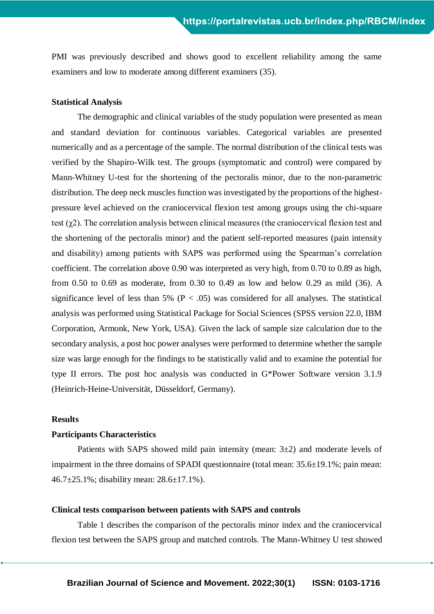PMI was previously described and shows good to excellent reliability among the same examiners and low to moderate among different examiners (35).

# **Statistical Analysis**

The demographic and clinical variables of the study population were presented as mean and standard deviation for continuous variables. Categorical variables are presented numerically and as a percentage of the sample. The normal distribution of the clinical tests was verified by the Shapiro-Wilk test. The groups (symptomatic and control) were compared by Mann-Whitney U-test for the shortening of the pectoralis minor, due to the non-parametric distribution. The deep neck muscles function was investigated by the proportions of the highestpressure level achieved on the craniocervical flexion test among groups using the chi-square test  $(\chi^2)$ . The correlation analysis between clinical measures (the craniocervical flexion test and the shortening of the pectoralis minor) and the patient self-reported measures (pain intensity and disability) among patients with SAPS was performed using the Spearman's correlation coefficient. The correlation above 0.90 was interpreted as very high, from 0.70 to 0.89 as high, from 0.50 to 0.69 as moderate, from 0.30 to 0.49 as low and below 0.29 as mild (36). A significance level of less than 5% ( $P < .05$ ) was considered for all analyses. The statistical analysis was performed using Statistical Package for Social Sciences (SPSS version 22.0, IBM Corporation, Armonk, New York, USA). Given the lack of sample size calculation due to the secondary analysis, a post hoc power analyses were performed to determine whether the sample size was large enough for the findings to be statistically valid and to examine the potential for type II errors. The post hoc analysis was conducted in G\*Power Software version 3.1.9 (Heinrich-Heine-Universität, Düsseldorf, Germany).

# **Results**

# **Participants Characteristics**

Patients with SAPS showed mild pain intensity (mean:  $3\pm 2$ ) and moderate levels of impairment in the three domains of SPADI questionnaire (total mean: 35.6±19.1%; pain mean: 46.7±25.1%; disability mean: 28.6±17.1%).

# **Clinical tests comparison between patients with SAPS and controls**

Table 1 describes the comparison of the pectoralis minor index and the craniocervical flexion test between the SAPS group and matched controls. The Mann-Whitney U test showed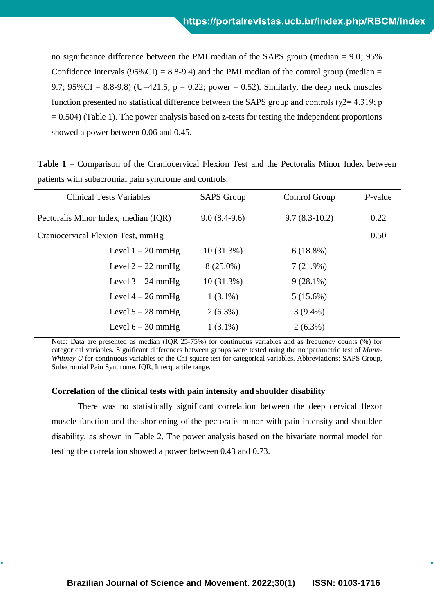no significance difference between the PMI median of the SAPS group (median = 9.0; 95% Confidence intervals ( $95\%$ CI) = 8.8-9.4) and the PMI median of the control group (median = 9.7; 95%CI = 8.8-9.8) (U=421.5;  $p = 0.22$ ; power = 0.52). Similarly, the deep neck muscles function presented no statistical difference between the SAPS group and controls ( $\gamma$ 2= 4.319; p  $= 0.504$ ) (Table 1). The power analysis based on z-tests for testing the independent proportions showed a power between 0.06 and 0.45.

**Table 1 –** Comparison of the Craniocervical Flexion Test and the Pectoralis Minor Index between patients with subacromial pain syndrome and controls.

| <b>Clinical Tests Variables</b>      | <b>SAPS</b> Group | Control Group   | $P$ -value |
|--------------------------------------|-------------------|-----------------|------------|
| Pectoralis Minor Index, median (IQR) | $9.0(8.4-9.6)$    | $9.7(8.3-10.2)$ | 0.22       |
| Craniocervical Flexion Test, mmHg    |                   |                 | 0.50       |
| Level $1 - 20$ mmHg                  | $10(31.3\%)$      | $6(18.8\%)$     |            |
| Level $2 - 22$ mmHg                  | $8(25.0\%)$       | 7(21.9%)        |            |
| Level $3 - 24$ mmHg                  | $10(31.3\%)$      | $9(28.1\%)$     |            |
| Level $4-26$ mmHg                    | $1(3.1\%)$        | $5(15.6\%)$     |            |
| Level $5 - 28$ mmHg                  | $2(6.3\%)$        | $3(9.4\%)$      |            |
| Level $6 - 30$ mmHg                  | $1(3.1\%)$        | $2(6.3\%)$      |            |

Note: Data are presented as median (IQR 25-75%) for continuous variables and as frequency counts (%) for categorical variables. Significant differences between groups were tested using the nonparametric test of *Mann-Whitney U* for continuous variables or the Chi-square test for categorical variables. Abbreviations: SAPS Group, Subacromial Pain Syndrome. IOR, Interquartile range.

### **Correlation of the clinical tests with pain intensity and shoulder disability**

There was no statistically significant correlation between the deep cervical flexor muscle function and the shortening of the pectoralis minor with pain intensity and shoulder disability, as shown in Table 2. The power analysis based on the bivariate normal model for testing the correlation showed a power between 0.43 and 0.73.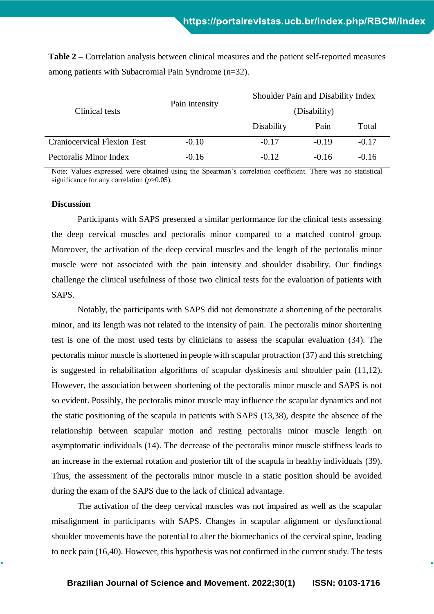| Clinical tests                     | Pain intensity |            | Shoulder Pain and Disability Index |         |  |
|------------------------------------|----------------|------------|------------------------------------|---------|--|
|                                    |                |            | (Disability)                       |         |  |
|                                    |                | Disability | Pain                               | Total   |  |
| <b>Craniocervical Flexion Test</b> | $-0.10$        | $-0.17$    | $-0.19$                            | $-0.17$ |  |
| Pectoralis Minor Index             | $-0.16$        | $-0.12$    | $-0.16$                            | $-0.16$ |  |

**Table 2 –** Correlation analysis between clinical measures and the patient self-reported measures among patients with Subacromial Pain Syndrome (n=32).

Note: Values expressed were obtained using the Spearman's correlation coefficient. There was no statistical significance for any correlation (*p*>0.05).

# **Discussion**

Participants with SAPS presented a similar performance for the clinical tests assessing the deep cervical muscles and pectoralis minor compared to a matched control group. Moreover, the activation of the deep cervical muscles and the length of the pectoralis minor muscle were not associated with the pain intensity and shoulder disability. Our findings challenge the clinical usefulness of those two clinical tests for the evaluation of patients with SAPS.

Notably, the participants with SAPS did not demonstrate a shortening of the pectoralis minor, and its length was not related to the intensity of pain. The pectoralis minor shortening test is one of the most used tests by clinicians to assess the scapular evaluation (34). The pectoralis minor muscle is shortened in people with scapular protraction (37) and this stretching is suggested in rehabilitation algorithms of scapular dyskinesis and shoulder pain (11,12). However, the association between shortening of the pectoralis minor muscle and SAPS is not so evident. Possibly, the pectoralis minor muscle may influence the scapular dynamics and not the static positioning of the scapula in patients with SAPS (13,38), despite the absence of the relationship between scapular motion and resting pectoralis minor muscle length on asymptomatic individuals (14). The decrease of the pectoralis minor muscle stiffness leads to an increase in the external rotation and posterior tilt of the scapula in healthy individuals (39). Thus, the assessment of the pectoralis minor muscle in a static position should be avoided during the exam of the SAPS due to the lack of clinical advantage.

The activation of the deep cervical muscles was not impaired as well as the scapular misalignment in participants with SAPS. Changes in scapular alignment or dysfunctional shoulder movements have the potential to alter the biomechanics of the cervical spine, leading to neck pain (16,40). However, this hypothesis was not confirmed in the current study. The tests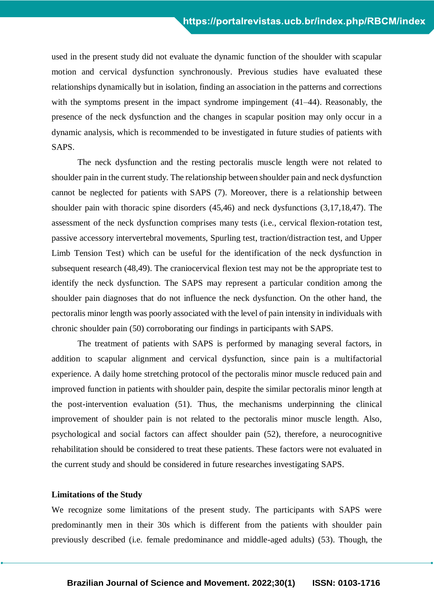used in the present study did not evaluate the dynamic function of the shoulder with scapular motion and cervical dysfunction synchronously. Previous studies have evaluated these relationships dynamically but in isolation, finding an association in the patterns and corrections with the symptoms present in the impact syndrome impingement (41–44). Reasonably, the presence of the neck dysfunction and the changes in scapular position may only occur in a dynamic analysis, which is recommended to be investigated in future studies of patients with SAPS.

The neck dysfunction and the resting pectoralis muscle length were not related to shoulder pain in the current study. The relationship between shoulder pain and neck dysfunction cannot be neglected for patients with SAPS (7). Moreover, there is a relationship between shoulder pain with thoracic spine disorders (45,46) and neck dysfunctions (3,17,18,47). The assessment of the neck dysfunction comprises many tests (i.e., cervical flexion-rotation test, passive accessory intervertebral movements, Spurling test, traction/distraction test, and Upper Limb Tension Test) which can be useful for the identification of the neck dysfunction in subsequent research (48,49). The craniocervical flexion test may not be the appropriate test to identify the neck dysfunction. The SAPS may represent a particular condition among the shoulder pain diagnoses that do not influence the neck dysfunction. On the other hand, the pectoralis minor length was poorly associated with the level of pain intensity in individuals with chronic shoulder pain (50) corroborating our findings in participants with SAPS.

The treatment of patients with SAPS is performed by managing several factors, in addition to scapular alignment and cervical dysfunction, since pain is a multifactorial experience. A daily home stretching protocol of the pectoralis minor muscle reduced pain and improved function in patients with shoulder pain, despite the similar pectoralis minor length at the post-intervention evaluation (51). Thus, the mechanisms underpinning the clinical improvement of shoulder pain is not related to the pectoralis minor muscle length. Also, psychological and social factors can affect shoulder pain (52), therefore, a neurocognitive rehabilitation should be considered to treat these patients. These factors were not evaluated in the current study and should be considered in future researches investigating SAPS.

# **Limitations of the Study**

We recognize some limitations of the present study. The participants with SAPS were predominantly men in their 30s which is different from the patients with shoulder pain previously described (i.e. female predominance and middle-aged adults) (53). Though, the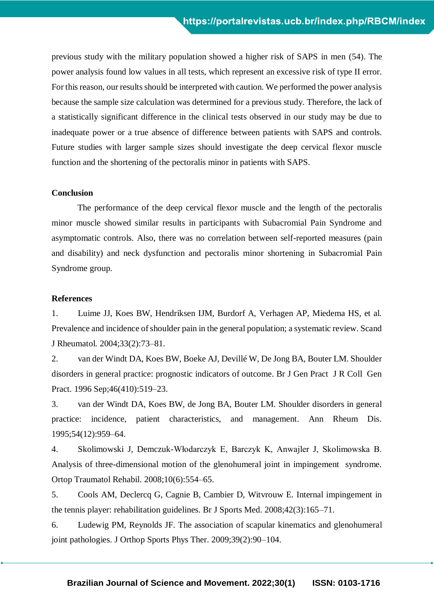previous study with the military population showed a higher risk of SAPS in men (54). The power analysis found low values in all tests, which represent an excessive risk of type II error. For this reason, our results should be interpreted with caution. We performed the power analysis because the sample size calculation was determined for a previous study. Therefore, the lack of a statistically significant difference in the clinical tests observed in our study may be due to inadequate power or a true absence of difference between patients with SAPS and controls. Future studies with larger sample sizes should investigate the deep cervical flexor muscle function and the shortening of the pectoralis minor in patients with SAPS.

# **Conclusion**

The performance of the deep cervical flexor muscle and the length of the pectoralis minor muscle showed similar results in participants with Subacromial Pain Syndrome and asymptomatic controls. Also, there was no correlation between self-reported measures (pain and disability) and neck dysfunction and pectoralis minor shortening in Subacromial Pain Syndrome group.

# **References**

1. Luime JJ, Koes BW, Hendriksen IJM, Burdorf A, Verhagen AP, Miedema HS, et al. Prevalence and incidence of shoulder pain in the general population; a systematic review. Scand J Rheumatol. 2004;33(2):73–81.

2. van der Windt DA, Koes BW, Boeke AJ, Devillé W, De Jong BA, Bouter LM. Shoulder disorders in general practice: prognostic indicators of outcome. Br J Gen Pract J R Coll Gen Pract. 1996 Sep;46(410):519–23.

3. van der Windt DA, Koes BW, de Jong BA, Bouter LM. Shoulder disorders in general practice: incidence, patient characteristics, and management. Ann Rheum Dis. 1995;54(12):959–64.

4. Skolimowski J, Demczuk-Włodarczyk E, Barczyk K, Anwajler J, Skolimowska B. Analysis of three-dimensional motion of the glenohumeral joint in impingement syndrome. Ortop Traumatol Rehabil. 2008;10(6):554–65.

5. Cools AM, Declercq G, Cagnie B, Cambier D, Witvrouw E. Internal impingement in the tennis player: rehabilitation guidelines. Br J Sports Med. 2008;42(3):165–71.

6. Ludewig PM, Reynolds JF. The association of scapular kinematics and glenohumeral joint pathologies. J Orthop Sports Phys Ther. 2009;39(2):90–104.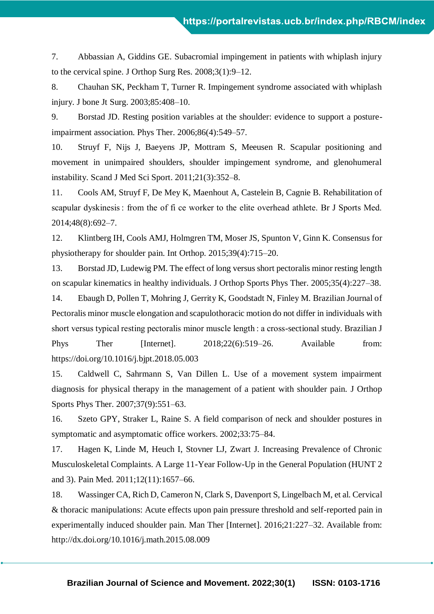7. Abbassian A, Giddins GE. Subacromial impingement in patients with whiplash injury to the cervical spine. J Orthop Surg Res. 2008;3(1):9–12.

8. Chauhan SK, Peckham T, Turner R. Impingement syndrome associated with whiplash injury. J bone Jt Surg. 2003;85:408–10.

9. Borstad JD. Resting position variables at the shoulder: evidence to support a postureimpairment association. Phys Ther. 2006;86(4):549–57.

10. Struyf F, Nijs J, Baeyens JP, Mottram S, Meeusen R. Scapular positioning and movement in unimpaired shoulders, shoulder impingement syndrome, and glenohumeral instability. Scand J Med Sci Sport. 2011;21(3):352–8.

11. Cools AM, Struyf F, De Mey K, Maenhout A, Castelein B, Cagnie B. Rehabilitation of scapular dyskinesis : from the of fi ce worker to the elite overhead athlete. Br J Sports Med. 2014;48(8):692–7.

12. Klintberg IH, Cools AMJ, Holmgren TM, Moser JS, Spunton V, Ginn K. Consensus for physiotherapy for shoulder pain. Int Orthop. 2015;39(4):715–20.

13. Borstad JD, Ludewig PM. The effect of long versus short pectoralis minor resting length on scapular kinematics in healthy individuals. J Orthop Sports Phys Ther. 2005;35(4):227–38.

14. Ebaugh D, Pollen T, Mohring J, Gerrity K, Goodstadt N, Finley M. Brazilian Journal of Pectoralis minor muscle elongation and scapulothoracic motion do not differ in individuals with short versus typical resting pectoralis minor muscle length : a cross-sectional study. Brazilian J Phys Ther [Internet]. 2018;22(6):519–26. Available from: https://doi.org/10.1016/j.bjpt.2018.05.003

15. Caldwell C, Sahrmann S, Van Dillen L. Use of a movement system impairment diagnosis for physical therapy in the management of a patient with shoulder pain. J Orthop Sports Phys Ther. 2007;37(9):551–63.

16. Szeto GPY, Straker L, Raine S. A field comparison of neck and shoulder postures in symptomatic and asymptomatic office workers. 2002;33:75–84.

17. Hagen K, Linde M, Heuch I, Stovner LJ, Zwart J. Increasing Prevalence of Chronic Musculoskeletal Complaints. A Large 11-Year Follow-Up in the General Population (HUNT 2 and 3). Pain Med. 2011;12(11):1657–66.

18. Wassinger CA, Rich D, Cameron N, Clark S, Davenport S, Lingelbach M, et al. Cervical & thoracic manipulations: Acute effects upon pain pressure threshold and self-reported pain in experimentally induced shoulder pain. Man Ther [Internet]. 2016;21:227–32. Available from: http://dx.doi.org/10.1016/j.math.2015.08.009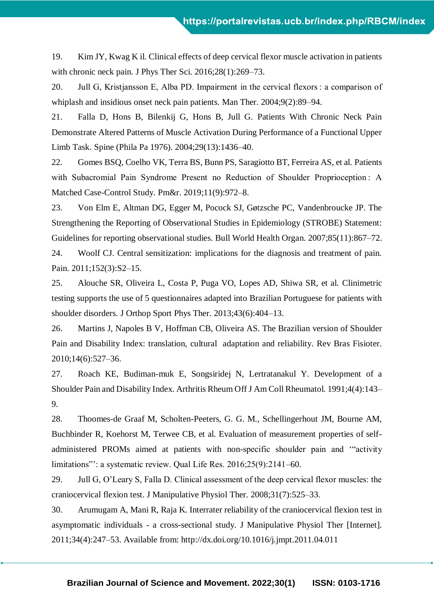19. Kim JY, Kwag K il. Clinical effects of deep cervical flexor muscle activation in patients with chronic neck pain. J Phys Ther Sci. 2016;28(1):269–73.

20. Jull G, Kristjansson E, Alba PD. Impairment in the cervical flexors : a comparison of whiplash and insidious onset neck pain patients. Man Ther. 2004;9(2):89–94.

21. Falla D, Hons B, Bilenkij G, Hons B, Jull G. Patients With Chronic Neck Pain Demonstrate Altered Patterns of Muscle Activation During Performance of a Functional Upper Limb Task. Spine (Phila Pa 1976). 2004;29(13):1436–40.

22. Gomes BSQ, Coelho VK, Terra BS, Bunn PS, Saragiotto BT, Ferreira AS, et al. Patients with Subacromial Pain Syndrome Present no Reduction of Shoulder Proprioception: A Matched Case-Control Study. Pm&r. 2019;11(9):972–8.

23. Von Elm E, Altman DG, Egger M, Pocock SJ, Gøtzsche PC, Vandenbroucke JP. The Strengthening the Reporting of Observational Studies in Epidemiology (STROBE) Statement: Guidelines for reporting observational studies. Bull World Health Organ. 2007;85(11):867–72.

24. Woolf CJ. Central sensitization: implications for the diagnosis and treatment of pain. Pain. 2011;152(3):S2–15.

25. Alouche SR, Oliveira L, Costa P, Puga VO, Lopes AD, Shiwa SR, et al. Clinimetric testing supports the use of 5 questionnaires adapted into Brazilian Portuguese for patients with shoulder disorders. J Orthop Sport Phys Ther. 2013;43(6):404–13.

26. Martins J, Napoles B V, Hoffman CB, Oliveira AS. The Brazilian version of Shoulder Pain and Disability Index: translation, cultural adaptation and reliability. Rev Bras Fisioter. 2010;14(6):527–36.

27. Roach KE, Budiman-muk E, Songsiridej N, Lertratanakul Y. Development of a Shoulder Pain and Disability Index. Arthritis Rheum Off J Am Coll Rheumatol. 1991;4(4):143– 9.

28. Thoomes-de Graaf M, Scholten-Peeters, G. G. M., Schellingerhout JM, Bourne AM, Buchbinder R, Koehorst M, Terwee CB, et al. Evaluation of measurement properties of selfadministered PROMs aimed at patients with non-specific shoulder pain and '"activity limitations": a systematic review. Qual Life Res. 2016;25(9):2141–60.

29. Jull G, O'Leary S, Falla D. Clinical assessment of the deep cervical flexor muscles: the craniocervical flexion test. J Manipulative Physiol Ther. 2008;31(7):525–33.

30. Arumugam A, Mani R, Raja K. Interrater reliability of the craniocervical flexion test in asymptomatic individuals - a cross-sectional study. J Manipulative Physiol Ther [Internet]. 2011;34(4):247–53. Available from: http://dx.doi.org/10.1016/j.jmpt.2011.04.011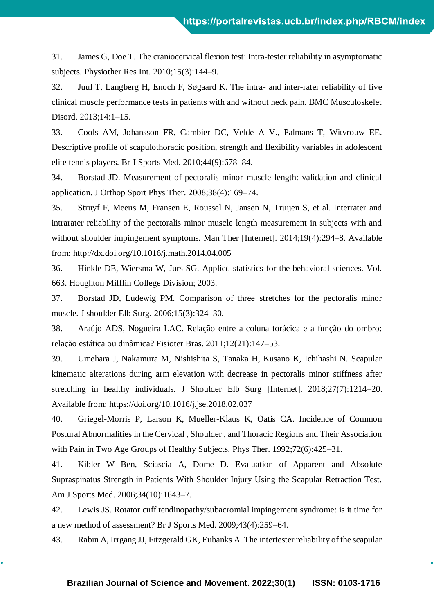31. James G, Doe T. The craniocervical flexion test: Intra-tester reliability in asymptomatic subjects. Physiother Res Int. 2010;15(3):144–9.

32. Juul T, Langberg H, Enoch F, Søgaard K. The intra- and inter-rater reliability of five clinical muscle performance tests in patients with and without neck pain. BMC Musculoskelet Disord. 2013;14:1–15.

33. Cools AM, Johansson FR, Cambier DC, Velde A V., Palmans T, Witvrouw EE. Descriptive profile of scapulothoracic position, strength and flexibility variables in adolescent elite tennis players. Br J Sports Med. 2010;44(9):678–84.

34. Borstad JD. Measurement of pectoralis minor muscle length: validation and clinical application. J Orthop Sport Phys Ther. 2008;38(4):169–74.

35. Struyf F, Meeus M, Fransen E, Roussel N, Jansen N, Truijen S, et al. Interrater and intrarater reliability of the pectoralis minor muscle length measurement in subjects with and without shoulder impingement symptoms. Man Ther [Internet]. 2014;19(4):294–8. Available from: http://dx.doi.org/10.1016/j.math.2014.04.005

36. Hinkle DE, Wiersma W, Jurs SG. Applied statistics for the behavioral sciences. Vol. 663. Houghton Mifflin College Division; 2003.

37. Borstad JD, Ludewig PM. Comparison of three stretches for the pectoralis minor muscle. J shoulder Elb Surg. 2006;15(3):324–30.

38. Araújo ADS, Nogueira LAC. Relação entre a coluna torácica e a função do ombro: relação estática ou dinâmica? Fisioter Bras. 2011;12(21):147–53.

39. Umehara J, Nakamura M, Nishishita S, Tanaka H, Kusano K, Ichihashi N. Scapular kinematic alterations during arm elevation with decrease in pectoralis minor stiffness after stretching in healthy individuals. J Shoulder Elb Surg [Internet]. 2018;27(7):1214–20. Available from: https://doi.org/10.1016/j.jse.2018.02.037

40. Griegel-Morris P, Larson K, Mueller-Klaus K, Oatis CA. Incidence of Common Postural Abnormalities in the Cervical , Shoulder , and Thoracic Regions and Their Association with Pain in Two Age Groups of Healthy Subjects. Phys Ther. 1992;72(6):425–31.

41. Kibler W Ben, Sciascia A, Dome D. Evaluation of Apparent and Absolute Supraspinatus Strength in Patients With Shoulder Injury Using the Scapular Retraction Test. Am J Sports Med. 2006;34(10):1643–7.

42. Lewis JS. Rotator cuff tendinopathy/subacromial impingement syndrome: is it time for a new method of assessment? Br J Sports Med. 2009;43(4):259–64.

43. Rabin A, Irrgang JJ, Fitzgerald GK, Eubanks A. The intertester reliability of the scapular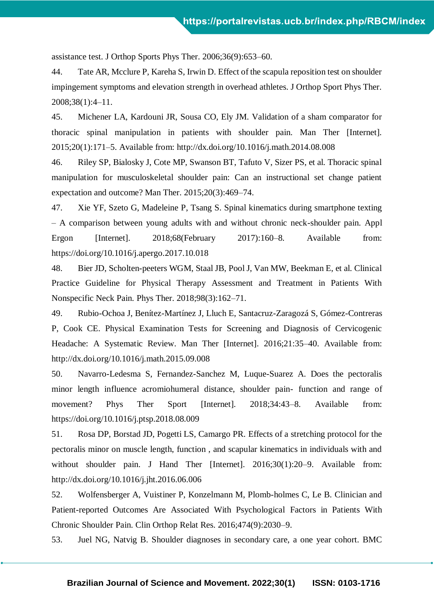assistance test. J Orthop Sports Phys Ther. 2006;36(9):653–60.

44. Tate AR, Mcclure P, Kareha S, Irwin D. Effect of the scapula reposition test on shoulder impingement symptoms and elevation strength in overhead athletes. J Orthop Sport Phys Ther. 2008;38(1):4–11.

45. Michener LA, Kardouni JR, Sousa CO, Ely JM. Validation of a sham comparator for thoracic spinal manipulation in patients with shoulder pain. Man Ther [Internet]. 2015;20(1):171–5. Available from: http://dx.doi.org/10.1016/j.math.2014.08.008

46. Riley SP, Bialosky J, Cote MP, Swanson BT, Tafuto V, Sizer PS, et al. Thoracic spinal manipulation for musculoskeletal shoulder pain: Can an instructional set change patient expectation and outcome? Man Ther. 2015;20(3):469–74.

47. Xie YF, Szeto G, Madeleine P, Tsang S. Spinal kinematics during smartphone texting – A comparison between young adults with and without chronic neck-shoulder pain. Appl Ergon [Internet]. 2018:68(February 2017):160–8. Available from: https://doi.org/10.1016/j.apergo.2017.10.018

48. Bier JD, Scholten-peeters WGM, Staal JB, Pool J, Van MW, Beekman E, et al. Clinical Practice Guideline for Physical Therapy Assessment and Treatment in Patients With Nonspecific Neck Pain. Phys Ther. 2018;98(3):162–71.

49. Rubio-Ochoa J, Benítez-Martínez J, Lluch E, Santacruz-Zaragozá S, Gómez-Contreras P, Cook CE. Physical Examination Tests for Screening and Diagnosis of Cervicogenic Headache: A Systematic Review. Man Ther [Internet]. 2016;21:35–40. Available from: http://dx.doi.org/10.1016/j.math.2015.09.008

50. Navarro-Ledesma S, Fernandez-Sanchez M, Luque-Suarez A. Does the pectoralis minor length influence acromiohumeral distance, shoulder pain- function and range of movement? Phys Ther Sport [Internet]. 2018;34:43–8. Available from: https://doi.org/10.1016/j.ptsp.2018.08.009

51. Rosa DP, Borstad JD, Pogetti LS, Camargo PR. Effects of a stretching protocol for the pectoralis minor on muscle length, function , and scapular kinematics in individuals with and without shoulder pain. J Hand Ther [Internet]. 2016;30(1):20–9. Available from: http://dx.doi.org/10.1016/j.jht.2016.06.006

52. Wolfensberger A, Vuistiner P, Konzelmann M, Plomb-holmes C, Le B. Clinician and Patient-reported Outcomes Are Associated With Psychological Factors in Patients With Chronic Shoulder Pain. Clin Orthop Relat Res. 2016;474(9):2030–9.

53. Juel NG, Natvig B. Shoulder diagnoses in secondary care, a one year cohort. BMC